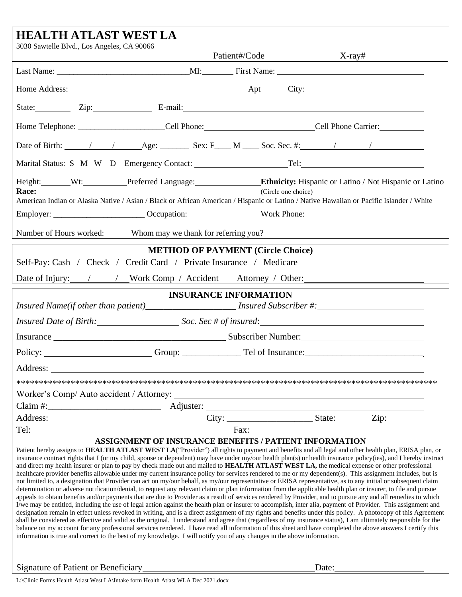| <b>HEALTH ATLAST WEST LA</b>                                                                                                                                                                                                                                                                                                                                                                                                                                                                                                                                                                                                                                                                                                                                                                                                                                                                                                                                                                                                                                                                                                                                                                                                                                                                                                                                                                                                                                                                                                                                                                                                                                                                                                                                                                                                                                                                                                            |                                                        |                              |  |  |  |
|-----------------------------------------------------------------------------------------------------------------------------------------------------------------------------------------------------------------------------------------------------------------------------------------------------------------------------------------------------------------------------------------------------------------------------------------------------------------------------------------------------------------------------------------------------------------------------------------------------------------------------------------------------------------------------------------------------------------------------------------------------------------------------------------------------------------------------------------------------------------------------------------------------------------------------------------------------------------------------------------------------------------------------------------------------------------------------------------------------------------------------------------------------------------------------------------------------------------------------------------------------------------------------------------------------------------------------------------------------------------------------------------------------------------------------------------------------------------------------------------------------------------------------------------------------------------------------------------------------------------------------------------------------------------------------------------------------------------------------------------------------------------------------------------------------------------------------------------------------------------------------------------------------------------------------------------|--------------------------------------------------------|------------------------------|--|--|--|
| 3030 Sawtelle Blvd., Los Angeles, CA 90066                                                                                                                                                                                                                                                                                                                                                                                                                                                                                                                                                                                                                                                                                                                                                                                                                                                                                                                                                                                                                                                                                                                                                                                                                                                                                                                                                                                                                                                                                                                                                                                                                                                                                                                                                                                                                                                                                              |                                                        |                              |  |  |  |
|                                                                                                                                                                                                                                                                                                                                                                                                                                                                                                                                                                                                                                                                                                                                                                                                                                                                                                                                                                                                                                                                                                                                                                                                                                                                                                                                                                                                                                                                                                                                                                                                                                                                                                                                                                                                                                                                                                                                         |                                                        |                              |  |  |  |
|                                                                                                                                                                                                                                                                                                                                                                                                                                                                                                                                                                                                                                                                                                                                                                                                                                                                                                                                                                                                                                                                                                                                                                                                                                                                                                                                                                                                                                                                                                                                                                                                                                                                                                                                                                                                                                                                                                                                         |                                                        |                              |  |  |  |
| State: Zip: Zip: E-mail: E-mail:                                                                                                                                                                                                                                                                                                                                                                                                                                                                                                                                                                                                                                                                                                                                                                                                                                                                                                                                                                                                                                                                                                                                                                                                                                                                                                                                                                                                                                                                                                                                                                                                                                                                                                                                                                                                                                                                                                        |                                                        |                              |  |  |  |
| Home Telephone: __________________________Cell Phone: ___________________________Cell Phone Carrier: _______________                                                                                                                                                                                                                                                                                                                                                                                                                                                                                                                                                                                                                                                                                                                                                                                                                                                                                                                                                                                                                                                                                                                                                                                                                                                                                                                                                                                                                                                                                                                                                                                                                                                                                                                                                                                                                    |                                                        |                              |  |  |  |
|                                                                                                                                                                                                                                                                                                                                                                                                                                                                                                                                                                                                                                                                                                                                                                                                                                                                                                                                                                                                                                                                                                                                                                                                                                                                                                                                                                                                                                                                                                                                                                                                                                                                                                                                                                                                                                                                                                                                         |                                                        |                              |  |  |  |
|                                                                                                                                                                                                                                                                                                                                                                                                                                                                                                                                                                                                                                                                                                                                                                                                                                                                                                                                                                                                                                                                                                                                                                                                                                                                                                                                                                                                                                                                                                                                                                                                                                                                                                                                                                                                                                                                                                                                         |                                                        |                              |  |  |  |
| Height: Wt: Preferred Language: Ethnicity: Hispanic or Latino / Not Hispanic or Latino<br>Race:<br>(Circle one choice)<br>American Indian or Alaska Native / Asian / Black or African American / Hispanic or Latino / Native Hawaiian or Pacific Islander / White                                                                                                                                                                                                                                                                                                                                                                                                                                                                                                                                                                                                                                                                                                                                                                                                                                                                                                                                                                                                                                                                                                                                                                                                                                                                                                                                                                                                                                                                                                                                                                                                                                                                       |                                                        |                              |  |  |  |
| Employer: ___________________________Occupation: ____________________Work Phone: _____________________________                                                                                                                                                                                                                                                                                                                                                                                                                                                                                                                                                                                                                                                                                                                                                                                                                                                                                                                                                                                                                                                                                                                                                                                                                                                                                                                                                                                                                                                                                                                                                                                                                                                                                                                                                                                                                          |                                                        |                              |  |  |  |
| Number of Hours worked: Whom may we thank for referring you?<br>Number of Hours worked: Whom may we thank for referring you?                                                                                                                                                                                                                                                                                                                                                                                                                                                                                                                                                                                                                                                                                                                                                                                                                                                                                                                                                                                                                                                                                                                                                                                                                                                                                                                                                                                                                                                                                                                                                                                                                                                                                                                                                                                                            |                                                        |                              |  |  |  |
| Self-Pay: Cash / Check / Credit Card / Private Insurance / Medicare<br>Date of Injury: / / / Work Comp / Accident Attorney / Other:                                                                                                                                                                                                                                                                                                                                                                                                                                                                                                                                                                                                                                                                                                                                                                                                                                                                                                                                                                                                                                                                                                                                                                                                                                                                                                                                                                                                                                                                                                                                                                                                                                                                                                                                                                                                     | <b>METHOD OF PAYMENT (Circle Choice)</b>               |                              |  |  |  |
|                                                                                                                                                                                                                                                                                                                                                                                                                                                                                                                                                                                                                                                                                                                                                                                                                                                                                                                                                                                                                                                                                                                                                                                                                                                                                                                                                                                                                                                                                                                                                                                                                                                                                                                                                                                                                                                                                                                                         |                                                        | <b>INSURANCE INFORMATION</b> |  |  |  |
| Insured Name(if other than patient)______________________ Insured Subscriber #:_____________________                                                                                                                                                                                                                                                                                                                                                                                                                                                                                                                                                                                                                                                                                                                                                                                                                                                                                                                                                                                                                                                                                                                                                                                                                                                                                                                                                                                                                                                                                                                                                                                                                                                                                                                                                                                                                                    |                                                        |                              |  |  |  |
| Insured Date of Birth: Soc. Sec # of insured: Soc. Sec # of insured:                                                                                                                                                                                                                                                                                                                                                                                                                                                                                                                                                                                                                                                                                                                                                                                                                                                                                                                                                                                                                                                                                                                                                                                                                                                                                                                                                                                                                                                                                                                                                                                                                                                                                                                                                                                                                                                                    |                                                        |                              |  |  |  |
|                                                                                                                                                                                                                                                                                                                                                                                                                                                                                                                                                                                                                                                                                                                                                                                                                                                                                                                                                                                                                                                                                                                                                                                                                                                                                                                                                                                                                                                                                                                                                                                                                                                                                                                                                                                                                                                                                                                                         |                                                        |                              |  |  |  |
|                                                                                                                                                                                                                                                                                                                                                                                                                                                                                                                                                                                                                                                                                                                                                                                                                                                                                                                                                                                                                                                                                                                                                                                                                                                                                                                                                                                                                                                                                                                                                                                                                                                                                                                                                                                                                                                                                                                                         |                                                        |                              |  |  |  |
| Address:                                                                                                                                                                                                                                                                                                                                                                                                                                                                                                                                                                                                                                                                                                                                                                                                                                                                                                                                                                                                                                                                                                                                                                                                                                                                                                                                                                                                                                                                                                                                                                                                                                                                                                                                                                                                                                                                                                                                |                                                        |                              |  |  |  |
|                                                                                                                                                                                                                                                                                                                                                                                                                                                                                                                                                                                                                                                                                                                                                                                                                                                                                                                                                                                                                                                                                                                                                                                                                                                                                                                                                                                                                                                                                                                                                                                                                                                                                                                                                                                                                                                                                                                                         |                                                        |                              |  |  |  |
|                                                                                                                                                                                                                                                                                                                                                                                                                                                                                                                                                                                                                                                                                                                                                                                                                                                                                                                                                                                                                                                                                                                                                                                                                                                                                                                                                                                                                                                                                                                                                                                                                                                                                                                                                                                                                                                                                                                                         |                                                        |                              |  |  |  |
|                                                                                                                                                                                                                                                                                                                                                                                                                                                                                                                                                                                                                                                                                                                                                                                                                                                                                                                                                                                                                                                                                                                                                                                                                                                                                                                                                                                                                                                                                                                                                                                                                                                                                                                                                                                                                                                                                                                                         |                                                        |                              |  |  |  |
|                                                                                                                                                                                                                                                                                                                                                                                                                                                                                                                                                                                                                                                                                                                                                                                                                                                                                                                                                                                                                                                                                                                                                                                                                                                                                                                                                                                                                                                                                                                                                                                                                                                                                                                                                                                                                                                                                                                                         |                                                        |                              |  |  |  |
| Patient hereby assigns to HEALTH ATLAST WEST LA("Provider") all rights to payment and benefits and all legal and other health plan, ERISA plan, or<br>insurance contract rights that I (or my child, spouse or dependent) may have under my/our health plan(s) or health insurance policy(ies), and I hereby instruct<br>and direct my health insurer or plan to pay by check made out and mailed to HEALTH ATLAST WEST LA, the medical expense or other professional<br>healthcare provider benefits allowable under my current insurance policy for services rendered to me or my dependent(s). This assignment includes, but is<br>not limited to, a designation that Provider can act on my/our behalf, as my/our representative or ERISA representative, as to any initial or subsequent claim<br>determination or adverse notification/denial, to request any relevant claim or plan information from the applicable health plan or insurer, to file and pursue<br>appeals to obtain benefits and/or payments that are due to Provider as a result of services rendered by Provider, and to pursue any and all remedies to which<br>I/we may be entitled, including the use of legal action against the health plan or insurer to accomplish, inter alia, payment of Provider. This assignment and<br>designation remain in effect unless revoked in writing, and is a direct assignment of my rights and benefits under this policy. A photocopy of this Agreement<br>shall be considered as effective and valid as the original. I understand and agree that (regardless of my insurance status), I am ultimately responsible for the<br>balance on my account for any professional services rendered. I have read all information of this sheet and have completed the above answers I certify this<br>information is true and correct to the best of my knowledge. I will notify you of any changes in the above information. | ASSIGNMENT OF INSURANCE BENEFITS / PATIENT INFORMATION |                              |  |  |  |

Signature of Patient or Beneficiary

|--|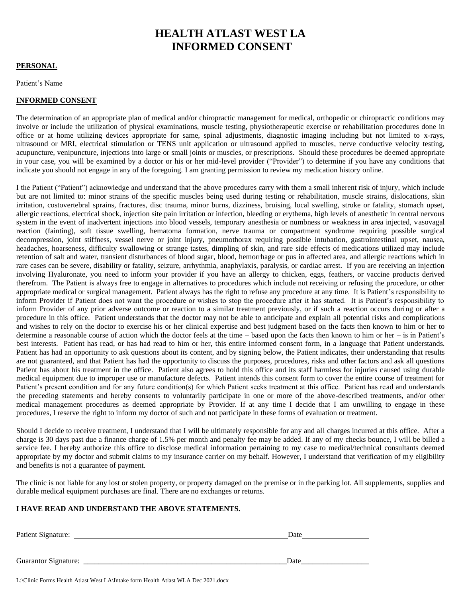# **HEALTH ATLAST WEST LA INFORMED CONSENT**

## **PERSONAL**

Patient's Name

## **INFORMED CONSENT**

The determination of an appropriate plan of medical and/or chiropractic management for medical, orthopedic or chiropractic conditions may involve or include the utilization of physical examinations, muscle testing, physiotherapeutic exercise or rehabilitation procedures done in office or at home utilizing devices appropriate for same, spinal adjustments, diagnostic imaging including but not limited to x-rays, ultrasound or MRI, electrical stimulation or TENS unit application or ultrasound applied to muscles, nerve conductive velocity testing, acupuncture, venipuncture, injections into large or small joints or muscles, or prescriptions. Should these procedures be deemed appropriate in your case, you will be examined by a doctor or his or her mid-level provider ("Provider") to determine if you have any conditions that indicate you should not engage in any of the foregoing. I am granting permission to review my medication history online.

I the Patient ("Patient") acknowledge and understand that the above procedures carry with them a small inherent risk of injury, which include but are not limited to: minor strains of the specific muscles being used during testing or rehabilitation, muscle strains, dislocations, skin irritation, costovertebral sprains, fractures, disc trauma, minor burns, dizziness, bruising, local swelling, stroke or fatality, stomach upset, allergic reactions, electrical shock, injection site pain irritation or infection, bleeding or erythema, high levels of anesthetic in central nervous system in the event of inadvertent injections into blood vessels, temporary anesthesia or numbness or weakness in area injected, vasovagal reaction (fainting), soft tissue swelling, hematoma formation, nerve trauma or compartment syndrome requiring possible surgical decompression, joint stiffness, vessel nerve or joint injury, pneumothorax requiring possible intubation, gastrointestinal upset, nausea, headaches, hoarseness, difficulty swallowing or strange tastes, dimpling of skin, and rare side effects of medications utilized may include retention of salt and water, transient disturbances of blood sugar, blood, hemorrhage or pus in affected area, and allergic reactions which in rare cases can be severe, disability or fatality, seizure, arrhythmia, anaphylaxis, paralysis, or cardiac arrest. If you are receiving an injection involving Hyaluronate, you need to inform your provider if you have an allergy to chicken, eggs, feathers, or vaccine products derived therefrom. The Patient is always free to engage in alternatives to procedures which include not receiving or refusing the procedure, or other appropriate medical or surgical management. Patient always has the right to refuse any procedure at any time. It is Patient's responsibility to inform Provider if Patient does not want the procedure or wishes to stop the procedure after it has started. It is Patient's responsibility to inform Provider of any prior adverse outcome or reaction to a similar treatment previously, or if such a reaction occurs during or after a procedure in this office. Patient understands that the doctor may not be able to anticipate and explain all potential risks and complications and wishes to rely on the doctor to exercise his or her clinical expertise and best judgment based on the facts then known to him or her to determine a reasonable course of action which the doctor feels at the time – based upon the facts then known to him or her – is in Patient's best interests. Patient has read, or has had read to him or her, this entire informed consent form, in a language that Patient understands. Patient has had an opportunity to ask questions about its content, and by signing below, the Patient indicates, their understanding that results are not guaranteed, and that Patient has had the opportunity to discuss the purposes, procedures, risks and other factors and ask all questions Patient has about his treatment in the office. Patient also agrees to hold this office and its staff harmless for injuries caused using durable medical equipment due to improper use or manufacture defects. Patient intends this consent form to cover the entire course of treatment for Patient's present condition and for any future condition(s) for which Patient seeks treatment at this office. Patient has read and understands the preceding statements and hereby consents to voluntarily participate in one or more of the above-described treatments, and/or other medical management procedures as deemed appropriate by Provider. If at any time I decide that I am unwilling to engage in these procedures, I reserve the right to inform my doctor of such and not participate in these forms of evaluation or treatment.

Should I decide to receive treatment, I understand that I will be ultimately responsible for any and all charges incurred at this office. After a charge is 30 days past due a finance charge of 1.5% per month and penalty fee may be added. If any of my checks bounce, I will be billed a service fee. I hereby authorize this office to disclose medical information pertaining to my case to medical/technical consultants deemed appropriate by my doctor and submit claims to my insurance carrier on my behalf. However, I understand that verification of my eligibility and benefits is not a guarantee of payment.

The clinic is not liable for any lost or stolen property, or property damaged on the premise or in the parking lot. All supplements, supplies and durable medical equipment purchases are final. There are no exchanges or returns.

## **I HAVE READ AND UNDERSTAND THE ABOVE STATEMENTS.**

| Date |  |  |
|------|--|--|
|      |  |  |
| Date |  |  |
|      |  |  |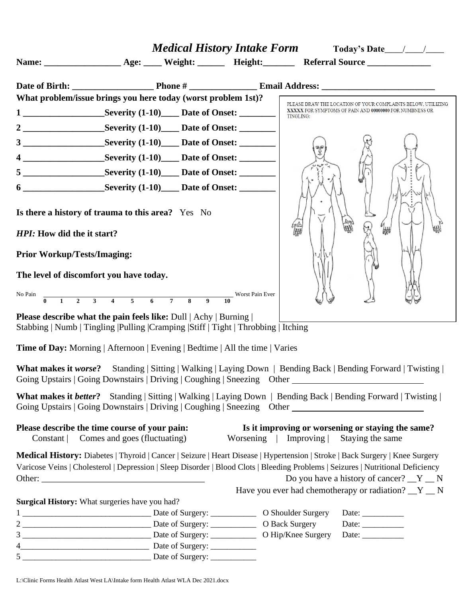|                                                    | What problem/issue brings you here today (worst problem 1st)?                                                                                                                                                                                                    |                       | PLEASE DRAW THE LOCATION OF YOUR COMPLAINTS BELOW, UTILIZING          |
|----------------------------------------------------|------------------------------------------------------------------------------------------------------------------------------------------------------------------------------------------------------------------------------------------------------------------|-----------------------|-----------------------------------------------------------------------|
|                                                    |                                                                                                                                                                                                                                                                  | TINGLING:             | XXXXX FOR SYMPTOMS OF PAIN AND 00000000 FOR NUMBNESS OR               |
|                                                    |                                                                                                                                                                                                                                                                  |                       |                                                                       |
|                                                    | 3 ________________________Severity (1-10)_______ Date of Onset: ________________                                                                                                                                                                                 |                       |                                                                       |
|                                                    |                                                                                                                                                                                                                                                                  |                       |                                                                       |
|                                                    |                                                                                                                                                                                                                                                                  |                       |                                                                       |
|                                                    | 6 _______________________Severity (1-10)______ Date of Onset: __________________                                                                                                                                                                                 |                       |                                                                       |
| HPI: How did the it start?                         | Is there a history of trauma to this area? Yes No                                                                                                                                                                                                                | 倫脚                    | ₩₩                                                                    |
| <b>Prior Workup/Tests/Imaging:</b>                 |                                                                                                                                                                                                                                                                  |                       |                                                                       |
| The level of discomfort you have today.<br>No Pain | $\frac{1}{0}$ 1 2 3 4 5 6 7 8 9 10<br>Worst Pain Ever                                                                                                                                                                                                            |                       |                                                                       |
|                                                    | <b>Please describe what the pain feels like:</b> Dull   Achy   Burning  <br>Stabbing   Numb   Tingling   Pulling   Cramping   Stiff   Tight   Throbbing   Itching                                                                                                |                       |                                                                       |
|                                                    | Time of Day: Morning   Afternoon   Evening   Bedtime   All the time   Varies                                                                                                                                                                                     |                       |                                                                       |
|                                                    | <b>What makes it worse?</b> Standing   Sitting   Walking   Laying Down   Bending Back   Bending Forward   Twisting  <br>Going Upstairs   Going Downstairs   Driving   Coughing   Sneezing Other ___________________________                                      |                       |                                                                       |
|                                                    | <b>What makes it better?</b> Standing   Sitting   Walking   Laying Down   Bending Back   Bending Forward   Twisting  <br>Going Upstairs   Going Downstairs   Driving   Coughing   Sneezing Other ___________________________                                     |                       |                                                                       |
| Please describe the time course of your pain:      | Constant   Comes and goes (fluctuating)                                                                                                                                                                                                                          | Worsening   Improving | Is it improving or worsening or staying the same?<br>Staying the same |
|                                                    | Medical History: Diabetes   Thyroid   Cancer   Seizure   Heart Disease   Hypertension   Stroke   Back Surgery   Knee Surgery<br>Varicose Veins   Cholesterol   Depression   Sleep Disorder   Blood Clots   Bleeding Problems   Seizures   Nutritional Deficiency |                       | Do you have a history of cancer? $Y'$ N                               |
| Surgical History: What surgeries have you had?     |                                                                                                                                                                                                                                                                  |                       | Have you ever had chemotherapy or radiation? $Y_N$                    |
|                                                    |                                                                                                                                                                                                                                                                  |                       | Date: $\_\_$                                                          |
|                                                    |                                                                                                                                                                                                                                                                  |                       | Date: $\_\_$                                                          |
|                                                    |                                                                                                                                                                                                                                                                  |                       | Date: $\_\_$                                                          |
|                                                    |                                                                                                                                                                                                                                                                  |                       |                                                                       |
|                                                    |                                                                                                                                                                                                                                                                  |                       |                                                                       |

L:\Clinic Forms Health Atlast West LA\Intake form Health Atlast WLA Dec 2021.docx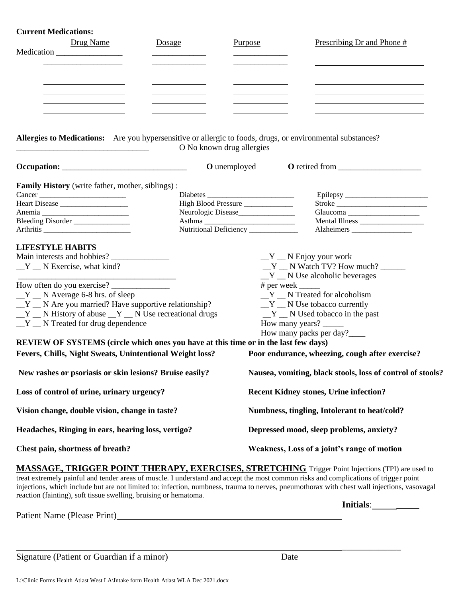## **Current Medications:**

| n i cht ivrcuications<br>Drug Name<br>Medication                                                           | Dosage                                               | Purpose             | Prescribing Dr and Phone #                                       |  |  |
|------------------------------------------------------------------------------------------------------------|------------------------------------------------------|---------------------|------------------------------------------------------------------|--|--|
| <u> 1989 - Johann Barnett, fransk politiker (</u>                                                          |                                                      |                     |                                                                  |  |  |
| Allergies to Medications: Are you hypersensitive or allergic to foods, drugs, or environmental substances? | O No known drug allergies                            |                     |                                                                  |  |  |
| $Occupation: \_$                                                                                           |                                                      | <b>O</b> unemployed |                                                                  |  |  |
| <b>Family History</b> (write father, mother, siblings):                                                    |                                                      |                     |                                                                  |  |  |
| Cancer                                                                                                     | High Blood Pressure                                  |                     |                                                                  |  |  |
| Heart Disease                                                                                              | Neurologic Disease_______________                    |                     | Stroke                                                           |  |  |
| Bleeding Disorder                                                                                          |                                                      |                     |                                                                  |  |  |
|                                                                                                            | Nutritional Deficiency ____________                  |                     |                                                                  |  |  |
| <b>LIFESTYLE HABITS</b>                                                                                    |                                                      |                     | $Y$ $\_\ N$ Enjoy your work                                      |  |  |
| $Y$ N Exercise, what kind?                                                                                 |                                                      |                     | $Y$ N Watch TV? How much?<br>$Y$ $\_\ N$ Use alcoholic beverages |  |  |
|                                                                                                            |                                                      |                     | $# per week$ <sub>_____</sub>                                    |  |  |
| $Y$ $\_\ N$ Average 6-8 hrs. of sleep                                                                      |                                                      |                     | $Y$ $\_\ N$ Treated for alcoholism                               |  |  |
| $Y$ $\_\ N$ Are you married? Have supportive relationship?                                                 |                                                      |                     | $Y$ $\_\ N$ Use tobacco currently                                |  |  |
| $Y$ $\_\ N$ History of abuse $\_\ Y$ $\_\ N$ Use recreational drugs                                        |                                                      |                     | $Y$ N Used tobacco in the past                                   |  |  |
| $Y$ N Treated for drug dependence                                                                          |                                                      |                     | How many years?                                                  |  |  |
|                                                                                                            |                                                      |                     | How many packs per day?____                                      |  |  |
| REVIEW OF SYSTEMS (circle which ones you have at this time or in the last few days)                        |                                                      |                     |                                                                  |  |  |
| Fevers, Chills, Night Sweats, Unintentional Weight loss?                                                   |                                                      |                     | Poor endurance, wheezing, cough after exercise?                  |  |  |
| New rashes or psoriasis or skin lesions? Bruise easily?                                                    |                                                      |                     | Nausea, vomiting, black stools, loss of control of stools?       |  |  |
| Loss of control of urine, urinary urgency?                                                                 |                                                      |                     | <b>Recent Kidney stones, Urine infection?</b>                    |  |  |
| Vision change, double vision, change in taste?                                                             |                                                      |                     | Numbness, tingling, Intolerant to heat/cold?                     |  |  |
| Headaches, Ringing in ears, hearing loss, vertigo?                                                         |                                                      |                     | Depressed mood, sleep problems, anxiety?                         |  |  |
| Chest pain, shortness of breath?                                                                           |                                                      |                     | Weakness, Loss of a joint's range of motion                      |  |  |
|                                                                                                            | <b>TRICOUR BOUT THERE INI THER CHARG CORPORATIVE</b> |                     |                                                                  |  |  |

**MASSAGE, TRIGGER POINT THERAPY, EXERCISES, STRETCHING** Trigger Point Injections (TPI) are used to treat extremely painful and tender areas of muscle. I understand and accept the most common risks and complications of trigger point injections, which include but are not limited to: infection, numbness, trauma to nerves, pneumothorax with chest wall injections, vasovagal reaction (fainting), soft tissue swelling, bruising or hematoma.

Patient Name (Please Print)<br>
<u>Example 2001</u>

Signature (Patient or Guardian if a minor) Date

**Initials:** \_\_\_\_\_\_

\_\_\_\_\_\_\_\_\_\_\_\_\_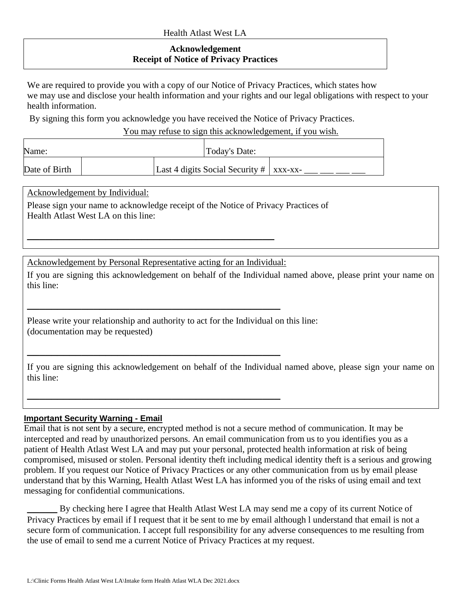# **Acknowledgement Receipt of Notice of Privacy Practices**

We are required to provide you with a copy of our Notice of Privacy Practices, which states how we may use and disclose your health information and your rights and our legal obligations with respect to your health information.

By signing this form you acknowledge you have received the Notice of Privacy Practices.

You may refuse to sign this acknowledgement, if you wish.

| Name:         |  | Today's Date:                                |  |  |
|---------------|--|----------------------------------------------|--|--|
| Date of Birth |  | Last 4 digits Social Security $\#$   xxx-xx- |  |  |

Acknowledgement by Individual:

Please sign your name to acknowledge receipt of the Notice of Privacy Practices of Health Atlast West LA on this line:

Acknowledgement by Personal Representative acting for an Individual:

**\_\_\_\_\_\_\_\_\_\_\_\_\_\_\_\_\_\_\_\_\_\_\_\_\_\_\_\_\_\_\_\_\_\_\_\_\_\_\_\_\_\_**

**\_\_\_\_\_\_\_\_\_\_\_\_\_\_\_\_\_\_\_\_\_\_\_\_\_\_\_\_\_\_\_\_\_\_\_\_\_\_\_\_\_\_**

**\_\_\_\_\_\_\_\_\_\_\_\_\_\_\_\_\_\_\_\_\_\_\_\_\_\_\_\_\_\_\_\_\_\_\_\_\_\_\_\_\_\_**

**\_\_\_\_\_\_\_\_\_\_\_\_\_\_\_\_\_\_\_\_\_\_\_\_\_\_\_\_\_\_\_\_\_\_\_\_\_\_\_\_\_**

If you are signing this acknowledgement on behalf of the Individual named above, please print your name on this line:

Please write your relationship and authority to act for the Individual on this line: (documentation may be requested)

If you are signing this acknowledgement on behalf of the Individual named above, please sign your name on this line:

# **Important Security Warning - Email**

Email that is not sent by a secure, encrypted method is not a secure method of communication. It may be intercepted and read by unauthorized persons. An email communication from us to you identifies you as a patient of Health Atlast West LA and may put your personal, protected health information at risk of being compromised, misused or stolen. Personal identity theft including medical identity theft is a serious and growing problem. If you request our Notice of Privacy Practices or any other communication from us by email please understand that by this Warning, Health Atlast West LA has informed you of the risks of using email and text messaging for confidential communications.

**\_\_\_\_\_** By checking here I agree that Health Atlast West LA may send me a copy of its current Notice of Privacy Practices by email if I request that it be sent to me by email although l understand that email is not a secure form of communication. I accept full responsibility for any adverse consequences to me resulting from the use of email to send me a current Notice of Privacy Practices at my request.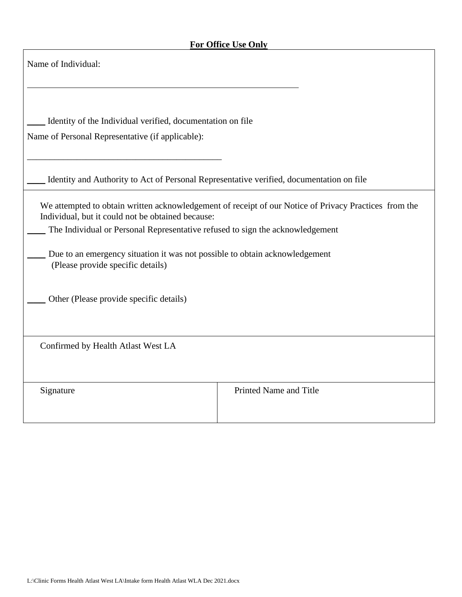| Name of Individual:                                                                                                                                                                                                                                    |                                                                                                       |
|--------------------------------------------------------------------------------------------------------------------------------------------------------------------------------------------------------------------------------------------------------|-------------------------------------------------------------------------------------------------------|
| Identity of the Individual verified, documentation on file<br>Name of Personal Representative (if applicable):                                                                                                                                         |                                                                                                       |
| Identity and Authority to Act of Personal Representative verified, documentation on file                                                                                                                                                               |                                                                                                       |
| Individual, but it could not be obtained because:<br>The Individual or Personal Representative refused to sign the acknowledgement<br>Due to an emergency situation it was not possible to obtain acknowledgement<br>(Please provide specific details) | We attempted to obtain written acknowledgement of receipt of our Notice of Privacy Practices from the |
| Other (Please provide specific details)                                                                                                                                                                                                                |                                                                                                       |
| Confirmed by Health Atlast West LA                                                                                                                                                                                                                     |                                                                                                       |
| Signature                                                                                                                                                                                                                                              | Printed Name and Title                                                                                |